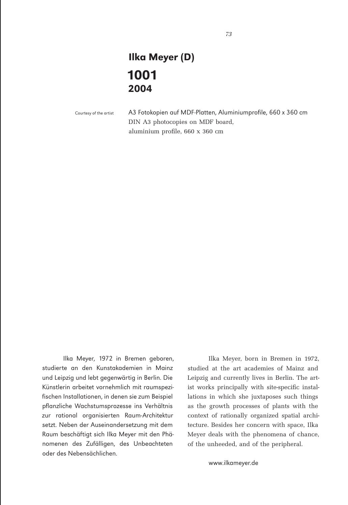## Ilka Meyer (D) 1001 2004

Courtesy of the artist

A3 Fotokopien auf MDF-Platten, Aluminiumprofile, 660 x 360 cm DIN A3 photocopies on MDF board, aluminium profile, 660 x 360 cm

Ilka Meyer, 1972 in Bremen geboren, studierte an den Kunstakademien in Mainz und Leipzig und lebt gegenwärtig in Berlin. Die Künstlerin arbeitet vornehmlich mit raumspezifischen Installationen, in denen sie zum Beispiel pflanzliche Wachstumsprozesse ins Verhältnis zur rational organisierten Raum-Architektur setzt. Neben der Auseinandersetzung mit dem Raum beschäftigt sich Ilka Meyer mit den Phänomenen des Zufälligen, des Unbeachteten oder des Nebensächlichen.

Ilka Meyer, born in Bremen in 1972, studied at the art academies of Mainz and Leipzig and currently lives in Berlin. The artist works principally with site-specific installations in which she juxtaposes such things as the growth processes of plants with the context of rationally organized spatial architecture. Besides her concern with space, Ilka Meyer deals with the phenomena of chance, of the unheeded, and of the peripheral.

www.ilkameyer.de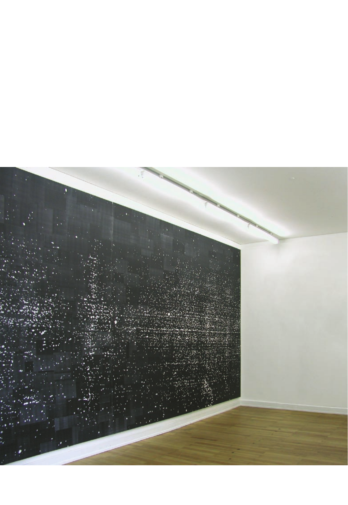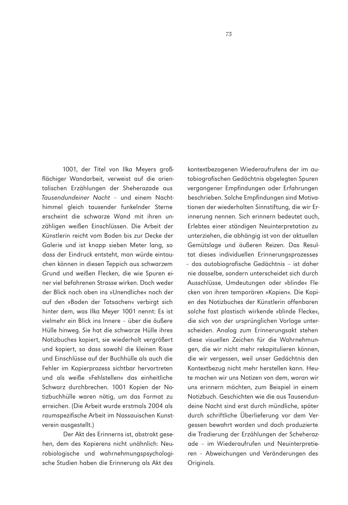1001, der Titel von Ilka Meyers großflächiger Wandarbeit, verweist auf die orientalischen Erzählungen der Sheherazade aus *Tausendundeiner Nacht* – und einem Nachthimmel gleich tausender funkelnder Sterne erscheint die schwarze Wand mit ihren unzähligen weißen Einschlüssen. Die Arbeit der Künstlerin reicht vom Boden bis zur Decke der Galerie und ist knapp sieben Meter lang, so dass der Eindruck entsteht, man würde eintauchen können in diesen Teppich aus schwarzem Grund und weißen Flecken, die wie Spuren einer viel befahrenen Strasse wirken. Doch weder der Blick nach oben ins »Unendliche« noch der auf den »Boden der Tatsachen« verbirgt sich hinter dem, was Ilka Meyer 1001 nennt: Es ist vielmehr ein Blick ins Innere – über die äußere Hülle hinweg. Sie hat die schwarze Hülle ihres Notizbuches kopiert, sie wiederholt vergrößert und kopiert, so dass sowohl die kleinen Risse und Einschlüsse auf der Buchhülle als auch die Fehler im Kopierprozess sichtbar hervortreten und als weiße »Fehlstellen« das einheitliche Schwarz durchbrechen. 1001 Kopien der Notizbuchhülle waren nötig, um das Format zu erreichen. (Die Arbeit wurde erstmals 2004 als raumspezifische Arbeit im Nassauischen Kunstverein ausgestellt.)

Der Akt des Erinnerns ist, abstrakt gesehen, dem des Kopierens nicht unähnlich: Neurobiologische und wahrnehmungspsychologische Studien haben die Erinnerung als Akt des

kontextbezogenen Wiederaufrufens der im autobiografischen Gedächtnis abgelegten Spuren vergangener Empfindungen oder Erfahrungen beschrieben. Solche Empfindungen sind Motivationen der wiederholten Sinnstiftung, die wir Erinnerung nennen. Sich erinnern bedeutet auch, Erlebtes einer ständigen Neuinterpretation zu unterziehen, die abhängig ist von der aktuellen Gemütslage und äußeren Reizen. Das Resultat dieses individuellen Erinnerungsprozesses – das autobiografische Gedächtnis – ist daher nie dasselbe, sondern unterscheidet sich durch Ausschlüsse, Umdeutungen oder »blinde« Flecken von ihren temporären »Kopien«. Die Kopien des Notizbuches der Künstlerin offenbaren solche fast plastisch wirkende »blinde Flecke«, die sich von der ursprünglichen Vorlage unterscheiden. Analog zum Erinnerungsakt stehen diese visuellen Zeichen für die Wahrnehmungen, die wir nicht mehr rekapitulieren können, die wir vergessen, weil unser Gedächtnis den Kontextbezug nicht mehr herstellen kann. Heute machen wir uns Notizen von dem, woran wir uns erinnern möchten, zum Beispiel in einem Notizbuch. Geschichten wie die aus Tausendundeine Nacht sind erst durch mündliche, später durch schriftliche Überlieferung vor dem Vergessen bewahrt worden und doch produzierte die Tradierung der Erzählungen der Scheherazade – im Wiederaufrufen und Neuinterpretieren – Abweichungen und Veränderungen des Originals.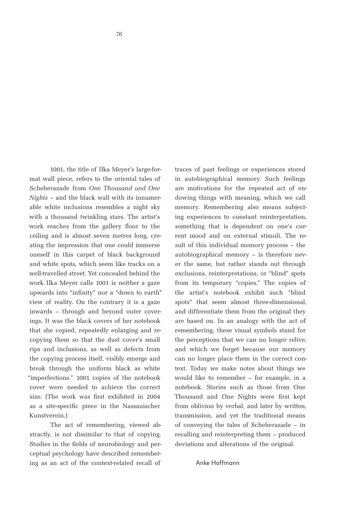1001, the title of Ilka Meyer's large-format wall piece, refers to the oriental tales of Scheherazade from *One Thousand and One Nights* – and the black wall with its innumerable white inclusions resembles a night sky with a thousand twinkling stars. The artist's work reaches from the gallery floor to the ceiling and is almost seven metres long, creating the impression that one could immerse oneself in this carpet of black background and white spots, which seem like tracks on a well-travelled street. Yet concealed behind the work Ilka Meyer calls 1001 is neither a gaze upwards into "infinity" nor a "down to earth" view of reality. On the contrary it is a gaze inwards – through and beyond outer coverings. It was the black covers of her notebook that she copied, repeatedly enlarging and recopying them so that the dust cover's small rips and inclusions, as well as defects from the copying process itself, visibly emerge and break through the uniform black as white "imperfections." 1001 copies of the notebook cover were needed to achieve the correct size. (The work was first exhibited in 2004 as a site-specific piece in the Nassauischer Kunstverein.)

The act of remembering, viewed abstractly, is not dissimilar to that of copying. Studies in the fields of neurobiology and perceptual psychology have described remembering as an act of the context-related recall of

traces of past feelings or experiences stored in autobiographical memory. Such feelings are motivations for the repeated act of endowing things with meaning, which we call memory. Remembering also means subjecting experiences to constant reinterpretation, something that is dependent on one's current mood and on external stimuli. The result of this individual memory process – the autobiographical memory – is therefore never the same, but rather stands out through exclusions, reinterpretations, or "blind" spots from its temporary "copies." The copies of the artist's notebook exhibit such "blind spots" that seem almost three-dimensional, and differentiate them from the original they are based on. In an analogy with the act of remembering, these visual symbols stand for the perceptions that we can no longer relive, and which we forget because our memory can no longer place them in the correct context. Today we make notes about things we would like to remember – for example, in a notebook. Stories such as those from One Thousand and One Nights were first kept from oblivion by verbal, and later by written, transmission, and yet the traditional means of conveying the tales of Scheherazade – in recalling and reinterpreting them – produced deviations and alterations of the original.

## Anke Hoffmann